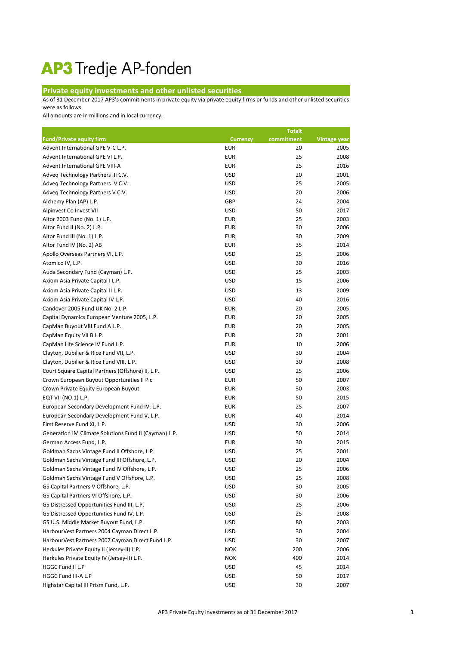## AP3 Tredje AP-fonden

## **Private equity investments and other unlisted securities**

As of 31 December 2017 AP3's commitments in private equity via private equity firms or funds and other unlisted securities were as follows.

All amounts are in millions and in local currency.

|                                                       |                 | <b>Totalt</b> |                     |
|-------------------------------------------------------|-----------------|---------------|---------------------|
| <b>Fund/Private equity firm</b>                       | <b>Currency</b> | commitment    | <b>Vintage year</b> |
| Advent International GPE V-C L.P.                     | <b>EUR</b>      | 20            | 2005                |
| Advent International GPE VI L.P.                      | <b>EUR</b>      | 25            | 2008                |
| Advent International GPE VIII-A                       | <b>EUR</b>      | 25            | 2016                |
| Adveq Technology Partners III C.V.                    | <b>USD</b>      | 20            | 2001                |
| Adveq Technology Partners IV C.V.                     | <b>USD</b>      | 25            | 2005                |
| Adveq Technology Partners V C.V.                      | <b>USD</b>      | 20            | 2006                |
| Alchemy Plan (AP) L.P.                                | GBP             | 24            | 2004                |
| Alpinvest Co Invest VII                               | <b>USD</b>      | 50            | 2017                |
| Altor 2003 Fund (No. 1) L.P.                          | <b>EUR</b>      | 25            | 2003                |
| Altor Fund II (No. 2) L.P.                            | <b>EUR</b>      | 30            | 2006                |
| Altor Fund III (No. 1) L.P.                           | <b>EUR</b>      | 30            | 2009                |
| Altor Fund IV (No. 2) AB                              | <b>EUR</b>      | 35            | 2014                |
| Apollo Overseas Partners VI, L.P.                     | <b>USD</b>      | 25            | 2006                |
| Atomico IV, L.P.                                      | <b>USD</b>      | 30            | 2016                |
| Auda Secondary Fund (Cayman) L.P.                     | <b>USD</b>      | 25            | 2003                |
| Axiom Asia Private Capital I L.P.                     | <b>USD</b>      | 15            | 2006                |
| Axiom Asia Private Capital II L.P.                    | <b>USD</b>      | 13            | 2009                |
| Axiom Asia Private Capital IV L.P.                    | <b>USD</b>      | 40            | 2016                |
| Candover 2005 Fund UK No. 2 L.P.                      | <b>EUR</b>      | 20            | 2005                |
| Capital Dynamics European Venture 2005, L.P.          | <b>EUR</b>      | 20            | 2005                |
| CapMan Buyout VIII Fund A L.P.                        | <b>EUR</b>      | 20            | 2005                |
| CapMan Equity VII B L.P.                              | <b>EUR</b>      | 20            | 2001                |
| CapMan Life Science IV Fund L.P.                      | <b>EUR</b>      | 10            | 2006                |
| Clayton, Dubilier & Rice Fund VII, L.P.               | <b>USD</b>      | 30            | 2004                |
| Clayton, Dubilier & Rice Fund VIII, L.P.              | <b>USD</b>      | 30            | 2008                |
| Court Square Capital Partners (Offshore) II, L.P.     | <b>USD</b>      | 25            | 2006                |
| Crown European Buyout Opportunities II Plc            | <b>EUR</b>      | 50            | 2007                |
| Crown Private Equity European Buyout                  | <b>EUR</b>      | 30            | 2003                |
| EQT VII (NO.1) L.P.                                   | <b>EUR</b>      | 50            | 2015                |
| European Secondary Development Fund IV, L.P.          | <b>EUR</b>      | 25            | 2007                |
| European Secondary Development Fund V, L.P.           | <b>EUR</b>      | 40            | 2014                |
| First Reserve Fund XI, L.P.                           | <b>USD</b>      | 30            | 2006                |
| Generation IM Climate Solutions Fund II (Cayman) L.P. | <b>USD</b>      | 50            | 2014                |
| German Access Fund, L.P.                              | <b>EUR</b>      | 30            | 2015                |
| Goldman Sachs Vintage Fund II Offshore, L.P.          | <b>USD</b>      | 25            | 2001                |
| Goldman Sachs Vintage Fund III Offshore, L.P.         | <b>USD</b>      | 20            | 2004                |
| Goldman Sachs Vintage Fund IV Offshore, L.P.          | <b>USD</b>      | 25            | 2006                |
| Goldman Sachs Vintage Fund V Offshore, L.P.           | <b>USD</b>      | 25            | 2008                |
| GS Capital Partners V Offshore, L.P.                  | <b>USD</b>      | 30            | 2005                |
| GS Capital Partners VI Offshore, L.P.                 | <b>USD</b>      | 30            | 2006                |
| GS Distressed Opportunities Fund III, L.P.            | <b>USD</b>      | 25            | 2006                |
| GS Distressed Opportunities Fund IV, L.P.             | <b>USD</b>      | 25            | 2008                |
| GS U.S. Middle Market Buyout Fund, L.P.               | <b>USD</b>      | 80            | 2003                |
| HarbourVest Partners 2004 Cayman Direct L.P.          | <b>USD</b>      | 30            | 2004                |
| HarbourVest Partners 2007 Cayman Direct Fund L.P.     | <b>USD</b>      | 30            | 2007                |
| Herkules Private Equity II (Jersey-II) L.P.           | <b>NOK</b>      | 200           | 2006                |
| Herkules Private Equity IV (Jersey-II) L.P.           | <b>NOK</b>      | 400           | 2014                |
| HGGC Fund II L.P                                      | <b>USD</b>      | 45            | 2014                |
| HGGC Fund III-A L.P                                   | <b>USD</b>      | 50            | 2017                |
| Highstar Capital III Prism Fund, L.P.                 | <b>USD</b>      | 30            | 2007                |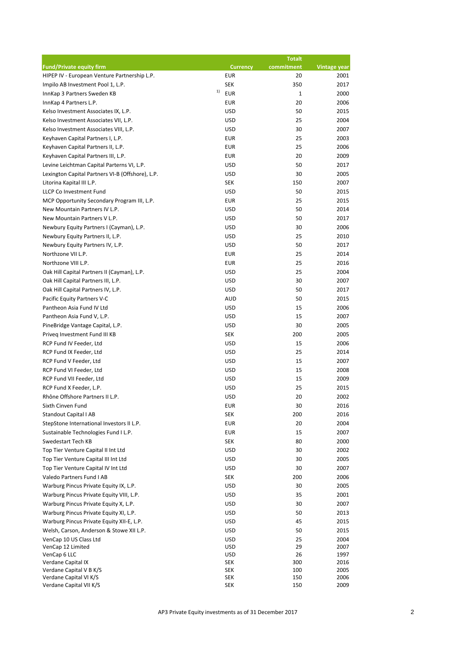|                                                  |                          | <b>Totalt</b> |                     |
|--------------------------------------------------|--------------------------|---------------|---------------------|
| <b>Fund/Private equity firm</b>                  | <b>Currency</b>          | commitment    | <b>Vintage year</b> |
| HIPEP IV - European Venture Partnership L.P.     | <b>EUR</b>               | 20            | 2001                |
| Impilo AB Investment Pool 1, L.P.                | <b>SEK</b>               | 350           | 2017                |
| 1)<br>InnKap 3 Partners Sweden KB                | <b>EUR</b>               | 1             | 2000                |
| InnKap 4 Partners L.P.                           | <b>EUR</b>               | 20            | 2006                |
| Kelso Investment Associates IX, L.P.             | <b>USD</b>               | 50            | 2015                |
| Kelso Investment Associates VII, L.P.            | <b>USD</b>               | 25            | 2004                |
| Kelso Investment Associates VIII, L.P.           | <b>USD</b>               | 30            | 2007                |
| Keyhaven Capital Partners I, L.P.                | <b>EUR</b>               | 25            | 2003                |
| Keyhaven Capital Partners II, L.P.               | <b>EUR</b>               | 25            | 2006                |
| Keyhaven Capital Partners III, L.P.              | <b>EUR</b>               | 20            | 2009                |
| Levine Leichtman Capital Parterns VI, L.P.       | <b>USD</b>               | 50            | 2017                |
| Lexington Capital Partners VI-B (Offshore), L.P. | <b>USD</b>               | 30            | 2005                |
| Litorina Kapital III L.P.                        | <b>SEK</b>               | 150           | 2007                |
| <b>LLCP Co Investment Fund</b>                   | <b>USD</b>               | 50            | 2015                |
| MCP Opportunity Secondary Program III, L.P.      | <b>EUR</b>               | 25            | 2015                |
| New Mountain Partners IV L.P.                    | <b>USD</b>               | 50            | 2014                |
| New Mountain Partners V L.P.                     | <b>USD</b>               | 50            | 2017                |
| Newbury Equity Partners I (Cayman), L.P.         | <b>USD</b>               | 30            | 2006                |
| Newbury Equity Partners II, L.P.                 | <b>USD</b>               | 25            | 2010                |
| Newbury Equity Partners IV, L.P.                 | <b>USD</b>               | 50            | 2017                |
| Northzone VII L.P.                               | <b>EUR</b>               | 25            | 2014                |
| Northzone VIII L.P.                              | <b>EUR</b>               | 25            | 2016                |
| Oak Hill Capital Partners II (Cayman), L.P.      | <b>USD</b>               | 25            | 2004                |
| Oak Hill Capital Partners III, L.P.              | <b>USD</b>               | 30            | 2007                |
| Oak Hill Capital Partners IV, L.P.               | <b>USD</b>               | 50            | 2017                |
| Pacific Equity Partners V-C                      | <b>AUD</b>               | 50            | 2015                |
| Pantheon Asia Fund IV Ltd                        | <b>USD</b>               | 15            | 2006                |
| Pantheon Asia Fund V, L.P.                       | <b>USD</b>               | 15            | 2007                |
| PineBridge Vantage Capital, L.P.                 | <b>USD</b>               | 30            | 2005                |
| Priveq Investment Fund III KB                    | <b>SEK</b>               | 200           | 2005                |
| RCP Fund IV Feeder, Ltd                          | <b>USD</b>               | 15            | 2006                |
| RCP Fund IX Feeder, Ltd                          | <b>USD</b>               | 25            | 2014                |
| RCP Fund V Feeder, Ltd                           | <b>USD</b>               | 15            | 2007                |
| RCP Fund VI Feeder, Ltd                          | <b>USD</b>               | 15            | 2008                |
| RCP Fund VII Feeder, Ltd                         | <b>USD</b>               | 15            | 2009                |
| RCP Fund X Feeder, L.P.                          | <b>USD</b>               | 25            | 2015                |
| Rhône Offshore Partners II L.P.                  | <b>USD</b>               | 20            | 2002                |
| Sixth Cinven Fund                                | <b>EUR</b>               | 30            | 2016                |
| <b>Standout Capital I AB</b>                     | <b>SEK</b>               | 200           | 2016                |
| StepStone International Investors II L.P.        | <b>EUR</b>               | 20            | 2004                |
| Sustainable Technologies Fund I L.P.             | <b>EUR</b>               | 15            | 2007                |
| Swedestart Tech KB                               | <b>SEK</b>               | 80            | 2000                |
| Top Tier Venture Capital II Int Ltd              | <b>USD</b>               | 30            | 2002                |
| Top Tier Venture Capital III Int Ltd             | <b>USD</b>               | 30            | 2005                |
| Top Tier Venture Capital IV Int Ltd              | <b>USD</b>               | 30            | 2007                |
| Valedo Partners Fund I AB                        | <b>SEK</b>               | 200           | 2006                |
| Warburg Pincus Private Equity IX, L.P.           | <b>USD</b>               | 30            | 2005                |
| Warburg Pincus Private Equity VIII, L.P.         | <b>USD</b>               | 35            | 2001                |
| Warburg Pincus Private Equity X, L.P.            | <b>USD</b>               | 30            | 2007                |
| Warburg Pincus Private Equity XI, L.P.           | <b>USD</b>               | 50            | 2013                |
| Warburg Pincus Private Equity XII-E, L.P.        | <b>USD</b>               | 45            | 2015                |
| Welsh, Carson, Anderson & Stowe XII L.P.         | <b>USD</b>               | 50            | 2015                |
| VenCap 10 US Class Ltd                           | <b>USD</b>               | 25            | 2004                |
| VenCap 12 Limited                                | <b>USD</b>               | 29            | 2007                |
| VenCap 6 LLC                                     | <b>USD</b>               | 26            | 1997                |
| Verdane Capital IX<br>Verdane Capital V B K/S    | <b>SEK</b><br><b>SEK</b> | 300<br>100    | 2016<br>2005        |
| Verdane Capital VI K/S                           | <b>SEK</b>               | 150           | 2006                |
| Verdane Capital VII K/S                          | <b>SEK</b>               | 150           | 2009                |